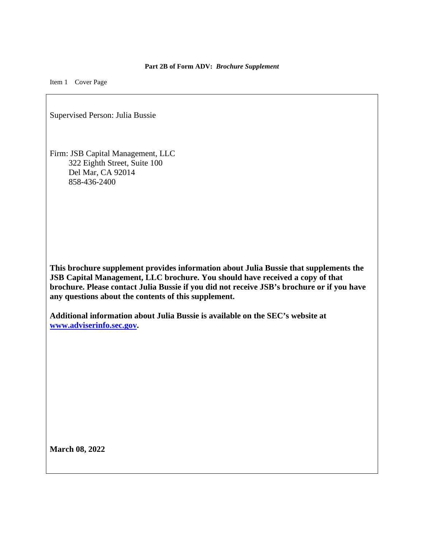## **Part 2B of Form ADV:** *Brochure Supplement*

Item 1 Cover Page

Supervised Person: Julia Bussie

Firm: JSB Capital Management, LLC 322 Eighth Street, Suite 100 Del Mar, CA 92014 858-436-2400

**This brochure supplement provides information about Julia Bussie that supplements the JSB Capital Management, LLC brochure. You should have received a copy of that brochure. Please contact Julia Bussie if you did not receive JSB's brochure or if you have any questions about the contents of this supplement.** 

**Additional information about Julia Bussie is available on the SEC's website at [www.adviserinfo.sec.gov.](http://www.adviserinfo.sec.gov/)** 

**March 08, 2022**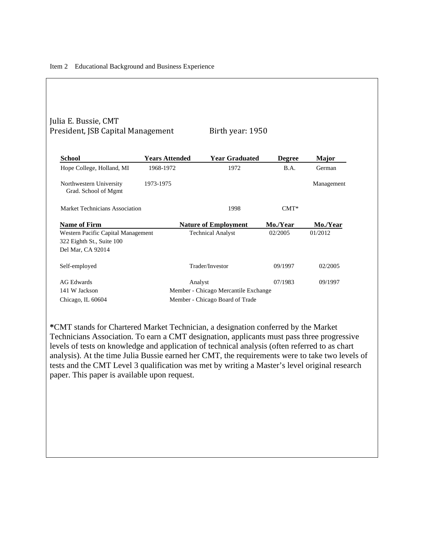## Julia E. Bussie, CMT President, JSB Capital Management Birth year: 1950

| School                                                                               | <b>Years Attended</b> | <b>Year Graduated</b>                                                              | <b>Degree</b> | Major      |
|--------------------------------------------------------------------------------------|-----------------------|------------------------------------------------------------------------------------|---------------|------------|
| Hope College, Holland, MI                                                            | 1968-1972             | 1972                                                                               | B.A.          | German     |
| Northwestern University<br>Grad. School of Mgmt                                      | 1973-1975             |                                                                                    |               | Management |
| Market Technicians Association                                                       |                       | 1998                                                                               | $CMT^*$       |            |
| <b>Name of Firm</b>                                                                  |                       | <b>Nature of Employment</b>                                                        | Mo./Year      | Mo./Year   |
| Western Pacific Capital Management<br>322 Eighth St., Suite 100<br>Del Mar, CA 92014 |                       | <b>Technical Analyst</b>                                                           | 02/2005       | 01/2012    |
| Self-employed                                                                        |                       | Trader/Investor                                                                    | 09/1997       | 02/2005    |
| AG Edwards<br>141 W Jackson<br>Chicago, IL 60604                                     |                       | Analyst<br>Member - Chicago Mercantile Exchange<br>Member - Chicago Board of Trade | 07/1983       | 09/1997    |

**\***CMT stands for Chartered Market Technician, a designation conferred by the Market Technicians Association. To earn a CMT designation, applicants must pass three progressive levels of tests on knowledge and application of technical analysis (often referred to as chart analysis). At the time Julia Bussie earned her CMT, the requirements were to take two levels of tests and the CMT Level 3 qualification was met by writing a Master's level original research paper. This paper is available upon request.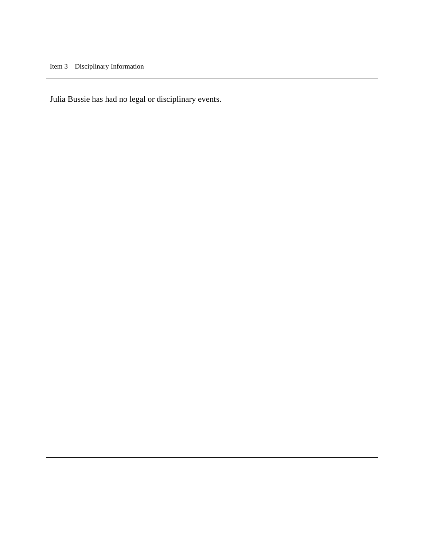Julia Bussie has had no legal or disciplinary events.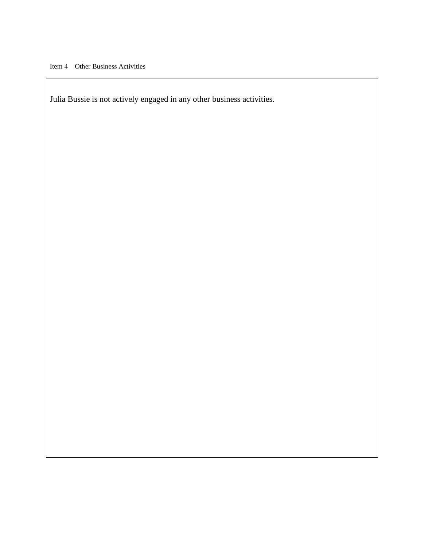Julia Bussie is not actively engaged in any other business activities.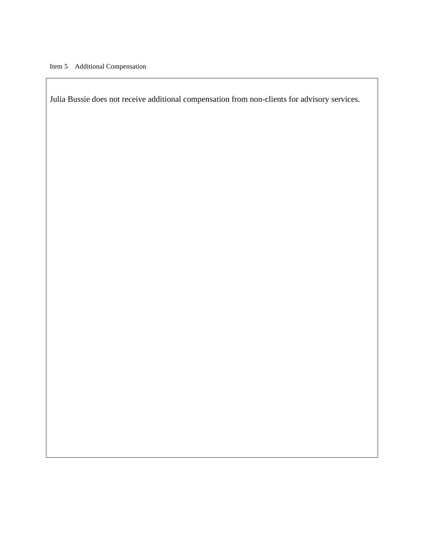Julia Bussie does not receive additional compensation from non-clients for advisory services.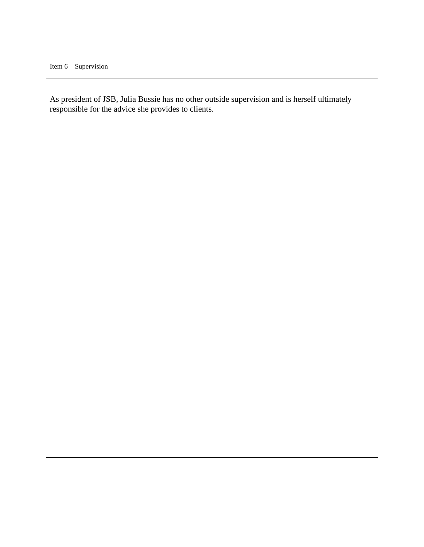As president of JSB, Julia Bussie has no other outside supervision and is herself ultimately responsible for the advice she provides to clients.